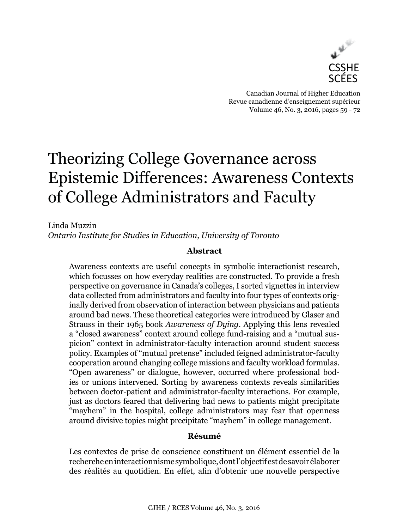

Canadian Journal of Higher Education Revue canadienne d'enseignement supérieur Volume 46, No. 3, 2016, pages 59 - 72

# Theorizing College Governance across Epistemic Differences: Awareness Contexts of College Administrators and Faculty

Linda Muzzin *Ontario Institute for Studies in Education, University of Toronto*

# **Abstract**

Awareness contexts are useful concepts in symbolic interactionist research, which focusses on how everyday realities are constructed. To provide a fresh perspective on governance in Canada's colleges, I sorted vignettes in interview data collected from administrators and faculty into four types of contexts originally derived from observation of interaction between physicians and patients around bad news. These theoretical categories were introduced by Glaser and Strauss in their 1965 book *Awareness of Dying*. Applying this lens revealed a "closed awareness" context around college fund-raising and a "mutual suspicion" context in administrator-faculty interaction around student success policy. Examples of "mutual pretense" included feigned administrator-faculty cooperation around changing college missions and faculty workload formulas. "Open awareness" or dialogue, however, occurred where professional bodies or unions intervened. Sorting by awareness contexts reveals similarities between doctor-patient and administrator-faculty interactions. For example, just as doctors feared that delivering bad news to patients might precipitate "mayhem" in the hospital, college administrators may fear that openness around divisive topics might precipitate "mayhem" in college management.

# **Résumé**

Les contextes de prise de conscience constituent un élément essentiel de la recherche en interactionnisme symbolique, dont l'objectif est de savoir élaborer des réalités au quotidien. En effet, afin d'obtenir une nouvelle perspective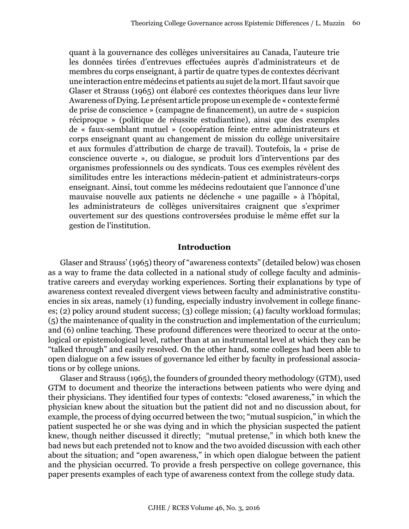quant à la gouvernance des collèges universitaires au Canada, l'auteure trie les données tirées d'entrevues effectuées auprès d'administrateurs et de membres du corps enseignant, à partir de quatre types de contextes décrivant une interaction entre médecins et patients au sujet de la mort. Il faut savoir que Glaser et Strauss (1965) ont élaboré ces contextes théoriques dans leur livre Awareness of Dying. Le présent article propose un exemple de « contexte fermé de prise de conscience » (campagne de financement), un autre de « suspicion réciproque » (politique de réussite estudiantine), ainsi que des exemples de « faux-semblant mutuel » (coopération feinte entre administrateurs et corps enseignant quant au changement de mission du collège universitaire et aux formules d'attribution de charge de travail). Toutefois, la « prise de conscience ouverte », ou dialogue, se produit lors d'interventions par des organismes professionnels ou des syndicats. Tous ces exemples révèlent des similitudes entre les interactions médecin-patient et administrateurs-corps enseignant. Ainsi, tout comme les médecins redoutaient que l'annonce d'une mauvaise nouvelle aux patients ne déclenche « une pagaille » à l'hôpital, les administrateurs de collèges universitaires craignent que s'exprimer ouvertement sur des questions controversées produise le même effet sur la gestion de l'institution.

#### **Introduction**

Glaser and Strauss' (1965) theory of "awareness contexts" (detailed below) was chosen as a way to frame the data collected in a national study of college faculty and administrative careers and everyday working experiences. Sorting their explanations by type of awareness context revealed divergent views between faculty and administrative constituencies in six areas, namely (1) funding, especially industry involvement in college finances; (2) policy around student success; (3) college mission; (4) faculty workload formulas; (5) the maintenance of quality in the construction and implementation of the curriculum; and (6) online teaching. These profound differences were theorized to occur at the ontological or epistemological level, rather than at an instrumental level at which they can be "talked through" and easily resolved. On the other hand, some colleges had been able to open dialogue on a few issues of governance led either by faculty in professional associations or by college unions.

Glaser and Strauss (1965), the founders of grounded theory methodology (GTM), used GTM to document and theorize the interactions between patients who were dying and their physicians. They identified four types of contexts: "closed awareness," in which the physician knew about the situation but the patient did not and no discussion about, for example, the process of dying occurred between the two; "mutual suspicion," in which the patient suspected he or she was dying and in which the physician suspected the patient knew, though neither discussed it directly; "mutual pretense," in which both knew the bad news but each pretended not to know and the two avoided discussion with each other about the situation; and "open awareness," in which open dialogue between the patient and the physician occurred. To provide a fresh perspective on college governance, this paper presents examples of each type of awareness context from the college study data.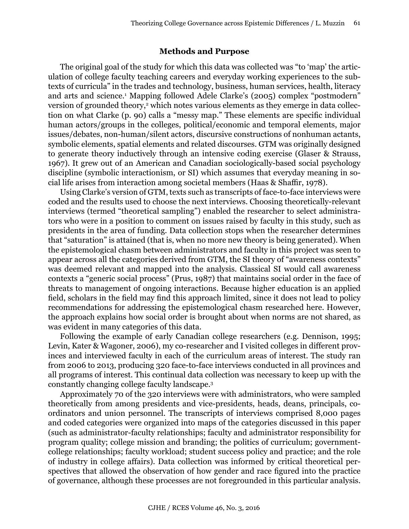#### **Methods and Purpose**

The original goal of the study for which this data was collected was "to 'map' the articulation of college faculty teaching careers and everyday working experiences to the subtexts of curricula" in the trades and technology, business, human services, health, literacy and arts and science.<sup>1</sup> Mapping followed Adele Clarke's (2005) complex "postmodern" version of grounded theory,<sup>2</sup> which notes various elements as they emerge in data collection on what Clarke (p. 90) calls a "messy map." These elements are specific individual human actors/groups in the colleges, political/economic and temporal elements, major issues/debates, non-human/silent actors, discursive constructions of nonhuman actants, symbolic elements, spatial elements and related discourses. GTM was originally designed to generate theory inductively through an intensive coding exercise (Glaser & Strauss, 1967). It grew out of an American and Canadian sociologically-based social psychology discipline (symbolic interactionism, or SI) which assumes that everyday meaning in social life arises from interaction among societal members (Haas & Shaffir, 1978).

Using Clarke's version of GTM, texts such as transcripts of face-to-face interviews were coded and the results used to choose the next interviews. Choosing theoretically-relevant interviews (termed "theoretical sampling") enabled the researcher to select administrators who were in a position to comment on issues raised by faculty in this study, such as presidents in the area of funding. Data collection stops when the researcher determines that "saturation" is attained (that is, when no more new theory is being generated). When the epistemological chasm between administrators and faculty in this project was seen to appear across all the categories derived from GTM, the SI theory of "awareness contexts" was deemed relevant and mapped into the analysis. Classical SI would call awareness contexts a "generic social process" (Prus, 1987) that maintains social order in the face of threats to management of ongoing interactions. Because higher education is an applied field, scholars in the field may find this approach limited, since it does not lead to policy recommendations for addressing the epistemological chasm researched here. However, the approach explains how social order is brought about when norms are not shared, as was evident in many categories of this data.

Following the example of early Canadian college researchers (e.g. Dennison, 1995; Levin, Kater & Wagoner, 2006), my co-researcher and I visited colleges in different provinces and interviewed faculty in each of the curriculum areas of interest. The study ran from 2006 to 2013, producing 320 face-to-face interviews conducted in all provinces and all programs of interest. This continual data collection was necessary to keep up with the constantly changing college faculty landscape.<sup>3</sup>

Approximately 70 of the 320 interviews were with administrators, who were sampled theoretically from among presidents and vice-presidents, heads, deans, principals, coordinators and union personnel. The transcripts of interviews comprised 8,000 pages and coded categories were organized into maps of the categories discussed in this paper (such as administrator-faculty relationships; faculty and administrator responsibility for program quality; college mission and branding; the politics of curriculum; governmentcollege relationships; faculty workload; student success policy and practice; and the role of industry in college affairs). Data collection was informed by critical theoretical perspectives that allowed the observation of how gender and race figured into the practice of governance, although these processes are not foregrounded in this particular analysis.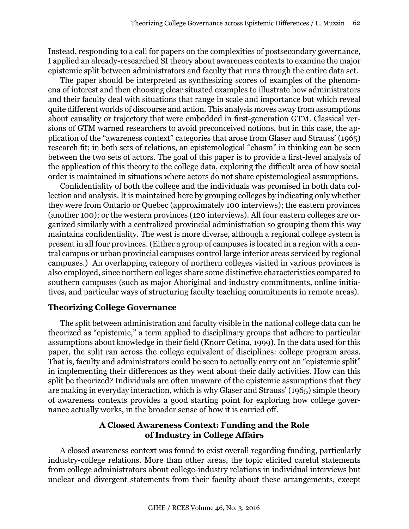Instead, responding to a call for papers on the complexities of postsecondary governance, I applied an already-researched SI theory about awareness contexts to examine the major epistemic split between administrators and faculty that runs through the entire data set.

The paper should be interpreted as synthesizing scores of examples of the phenomena of interest and then choosing clear situated examples to illustrate how administrators and their faculty deal with situations that range in scale and importance but which reveal quite different worlds of discourse and action. This analysis moves away from assumptions about causality or trajectory that were embedded in first-generation GTM. Classical versions of GTM warned researchers to avoid preconceived notions, but in this case, the application of the "awareness context" categories that arose from Glaser and Strauss' (1965) research fit; in both sets of relations, an epistemological "chasm" in thinking can be seen between the two sets of actors. The goal of this paper is to provide a first-level analysis of the application of this theory to the college data, exploring the difficult area of how social order is maintained in situations where actors do not share epistemological assumptions.

Confidentiality of both the college and the individuals was promised in both data collection and analysis. It is maintained here by grouping colleges by indicating only whether they were from Ontario or Quebec (approximately 100 interviews); the eastern provinces (another 100); or the western provinces (120 interviews). All four eastern colleges are organized similarly with a centralized provincial administration so grouping them this way maintains confidentiality. The west is more diverse, although a regional college system is present in all four provinces. (Either a group of campuses is located in a region with a central campus or urban provincial campuses control large interior areas serviced by regional campuses.) An overlapping category of northern colleges visited in various provinces is also employed, since northern colleges share some distinctive characteristics compared to southern campuses (such as major Aboriginal and industry commitments, online initiatives, and particular ways of structuring faculty teaching commitments in remote areas).

## **Theorizing College Governance**

The split between administration and faculty visible in the national college data can be theorized as "epistemic," a term applied to disciplinary groups that adhere to particular assumptions about knowledge in their field (Knorr Cetina, 1999). In the data used for this paper, the split ran across the college equivalent of disciplines: college program areas. That is, faculty and administrators could be seen to actually carry out an "epistemic split" in implementing their differences as they went about their daily activities. How can this split be theorized? Individuals are often unaware of the epistemic assumptions that they are making in everyday interaction, which is why Glaser and Strauss' (1965) simple theory of awareness contexts provides a good starting point for exploring how college governance actually works, in the broader sense of how it is carried off.

# **A Closed Awareness Context: Funding and the Role of Industry in College Affairs**

A closed awareness context was found to exist overall regarding funding, particularly industry-college relations. More than other areas, the topic elicited careful statements from college administrators about college-industry relations in individual interviews but unclear and divergent statements from their faculty about these arrangements, except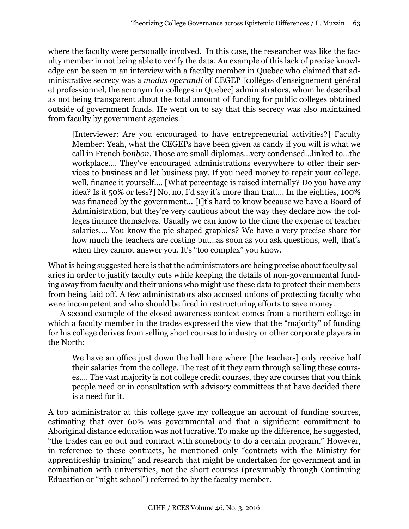where the faculty were personally involved. In this case, the researcher was like the faculty member in not being able to verify the data. An example of this lack of precise knowledge can be seen in an interview with a faculty member in Quebec who claimed that administrative secrecy was a *modus operandi* of CEGEP [collèges d'enseignement général et professionnel, the acronym for colleges in Quebec] administrators, whom he described as not being transparent about the total amount of funding for public colleges obtained outside of government funds. He went on to say that this secrecy was also maintained from faculty by government agencies.<sup>4</sup>

[Interviewer: Are you encouraged to have entrepreneurial activities?] Faculty Member: Yeah, what the CEGEPs have been given as candy if you will is what we call in French *bonbon*. Those are small diplomas…very condensed…linked to…the workplace…. They've encouraged administrations everywhere to offer their services to business and let business pay. If you need money to repair your college, well, finance it yourself…. [What percentage is raised internally? Do you have any idea? Is it 50% or less?] No, no, I'd say it's more than that…. In the eighties, 100% was financed by the government… [I]t's hard to know because we have a Board of Administration, but they're very cautious about the way they declare how the colleges finance themselves. Usually we can know to the dime the expense of teacher salaries…. You know the pie-shaped graphics? We have a very precise share for how much the teachers are costing but…as soon as you ask questions, well, that's when they cannot answer you. It's "too complex" you know.

What is being suggested here is that the administrators are being precise about faculty salaries in order to justify faculty cuts while keeping the details of non-governmental funding away from faculty and their unions who might use these data to protect their members from being laid off. A few administrators also accused unions of protecting faculty who were incompetent and who should be fired in restructuring efforts to save money.

A second example of the closed awareness context comes from a northern college in which a faculty member in the trades expressed the view that the "majority" of funding for his college derives from selling short courses to industry or other corporate players in the North:

We have an office just down the hall here where [the teachers] only receive half their salaries from the college. The rest of it they earn through selling these courses…. The vast majority is not college credit courses, they are courses that you think people need or in consultation with advisory committees that have decided there is a need for it.

A top administrator at this college gave my colleague an account of funding sources, estimating that over 60% was governmental and that a significant commitment to Aboriginal distance education was not lucrative. To make up the difference, he suggested, "the trades can go out and contract with somebody to do a certain program." However, in reference to these contracts, he mentioned only "contracts with the Ministry for apprenticeship training" and research that might be undertaken for government and in combination with universities, not the short courses (presumably through Continuing Education or "night school") referred to by the faculty member.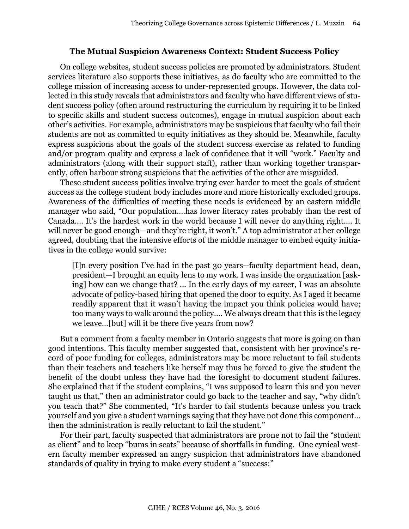## **The Mutual Suspicion Awareness Context: Student Success Policy**

On college websites, student success policies are promoted by administrators. Student services literature also supports these initiatives, as do faculty who are committed to the college mission of increasing access to under-represented groups. However, the data collected in this study reveals that administrators and faculty who have different views of student success policy (often around restructuring the curriculum by requiring it to be linked to specific skills and student success outcomes), engage in mutual suspicion about each other's activities. For example, administrators may be suspicious that faculty who fail their students are not as committed to equity initiatives as they should be. Meanwhile, faculty express suspicions about the goals of the student success exercise as related to funding and/or program quality and express a lack of confidence that it will "work." Faculty and administrators (along with their support staff), rather than working together transparently, often harbour strong suspicions that the activities of the other are misguided.

These student success politics involve trying ever harder to meet the goals of student success as the college student body includes more and more historically excluded groups. Awareness of the difficulties of meeting these needs is evidenced by an eastern middle manager who said, "Our population….has lower literacy rates probably than the rest of Canada…. It's the hardest work in the world because I will never do anything right…. It will never be good enough—and they're right, it won't." A top administrator at her college agreed, doubting that the intensive efforts of the middle manager to embed equity initiatives in the college would survive:

[I]n every position I've had in the past 30 years--faculty department head, dean, president—I brought an equity lens to my work. I was inside the organization [asking] how can we change that? ... In the early days of my career, I was an absolute advocate of policy-based hiring that opened the door to equity. As I aged it became readily apparent that it wasn't having the impact you think policies would have; too many ways to walk around the policy…. We always dream that this is the legacy we leave…[but] will it be there five years from now?

But a comment from a faculty member in Ontario suggests that more is going on than good intentions. This faculty member suggested that, consistent with her province's record of poor funding for colleges, administrators may be more reluctant to fail students than their teachers and teachers like herself may thus be forced to give the student the benefit of the doubt unless they have had the foresight to document student failures. She explained that if the student complains, "I was supposed to learn this and you never taught us that," then an administrator could go back to the teacher and say, "why didn't you teach that?" She commented, "It's harder to fail students because unless you track yourself and you give a student warnings saying that they have not done this component… then the administration is really reluctant to fail the student."

For their part, faculty suspected that administrators are prone not to fail the "student as client" and to keep "bums in seats" because of shortfalls in funding. One cynical western faculty member expressed an angry suspicion that administrators have abandoned standards of quality in trying to make every student a "success:"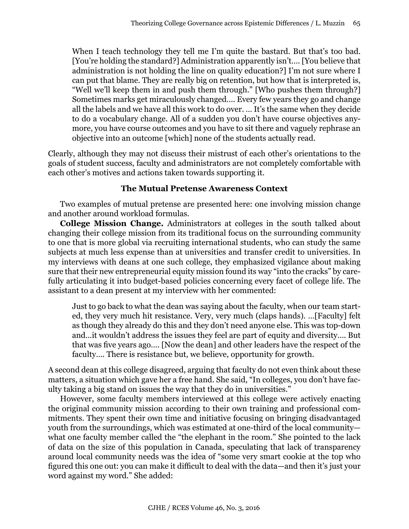When I teach technology they tell me I'm quite the bastard. But that's too bad. [You're holding the standard?] Administration apparently isn't…. [You believe that administration is not holding the line on quality education?] I'm not sure where I can put that blame. They are really big on retention, but how that is interpreted is, "Well we'll keep them in and push them through." [Who pushes them through?] Sometimes marks get miraculously changed…. Every few years they go and change all the labels and we have all this work to do over. … It's the same when they decide to do a vocabulary change. All of a sudden you don't have course objectives anymore, you have course outcomes and you have to sit there and vaguely rephrase an objective into an outcome [which] none of the students actually read.

Clearly, although they may not discuss their mistrust of each other's orientations to the goals of student success, faculty and administrators are not completely comfortable with each other's motives and actions taken towards supporting it.

# **The Mutual Pretense Awareness Context**

Two examples of mutual pretense are presented here: one involving mission change and another around workload formulas.

**College Mission Change.** Administrators at colleges in the south talked about changing their college mission from its traditional focus on the surrounding community to one that is more global via recruiting international students, who can study the same subjects at much less expense than at universities and transfer credit to universities. In my interviews with deans at one such college, they emphasized vigilance about making sure that their new entrepreneurial equity mission found its way "into the cracks" by carefully articulating it into budget-based policies concerning every facet of college life. The assistant to a dean present at my interview with her commented:

Just to go back to what the dean was saying about the faculty, when our team started, they very much hit resistance. Very, very much (claps hands). …[Faculty] felt as though they already do this and they don't need anyone else. This was top-down and…it wouldn't address the issues they feel are part of equity and diversity…. But that was five years ago…. [Now the dean] and other leaders have the respect of the faculty…. There is resistance but, we believe, opportunity for growth.

A second dean at this college disagreed, arguing that faculty do not even think about these matters, a situation which gave her a free hand. She said, "In colleges, you don't have faculty taking a big stand on issues the way that they do in universities."

However, some faculty members interviewed at this college were actively enacting the original community mission according to their own training and professional commitments. They spent their own time and initiative focusing on bringing disadvantaged youth from the surroundings, which was estimated at one-third of the local community what one faculty member called the "the elephant in the room." She pointed to the lack of data on the size of this population in Canada, speculating that lack of transparency around local community needs was the idea of "some very smart cookie at the top who figured this one out: you can make it difficult to deal with the data—and then it's just your word against my word." She added: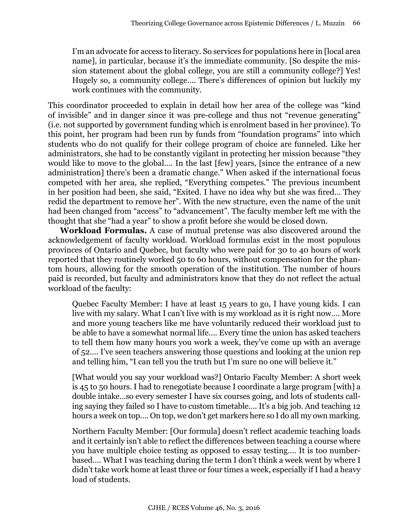I'm an advocate for access to literacy. So services for populations here in [local area name], in particular, because it's the immediate community. [So despite the mission statement about the global college, you are still a community college?] Yes! Hugely so, a community college…. There's differences of opinion but luckily my work continues with the community.

This coordinator proceeded to explain in detail how her area of the college was "kind of invisible" and in danger since it was pre-college and thus not "revenue generating" (i.e. not supported by government funding which is enrolment based in her province). To this point, her program had been run by funds from "foundation programs" into which students who do not qualify for their college program of choice are funneled. Like her administrators, she had to be constantly vigilant in protecting her mission because "they would like to move to the global…. In the last [few] years, [since the entrance of a new administration] there's been a dramatic change." When asked if the international focus competed with her area, she replied, "Everything competes." The previous incumbent in her position had been, she said, "Exited. I have no idea why but she was fired… They redid the department to remove her". With the new structure, even the name of the unit had been changed from "access" to "advancement". The faculty member left me with the thought that she "had a year" to show a profit before she would be closed down.

**Workload Formulas.** A case of mutual pretense was also discovered around the acknowledgement of faculty workload. Workload formulas exist in the most populous provinces of Ontario and Quebec, but faculty who were paid for 30 to 40 hours of work reported that they routinely worked 50 to 60 hours, without compensation for the phantom hours, allowing for the smooth operation of the institution. The number of hours paid is recorded, but faculty and administrators know that they do not reflect the actual workload of the faculty:

Quebec Faculty Member: I have at least 15 years to go, I have young kids. I can live with my salary. What I can't live with is my workload as it is right now…. More and more young teachers like me have voluntarily reduced their workload just to be able to have a somewhat normal life…. Every time the union has asked teachers to tell them how many hours you work a week, they've come up with an average of 52…. I've seen teachers answering those questions and looking at the union rep and telling him, "I can tell you the truth but I'm sure no one will believe it."

[What would you say your workload was?] Ontario Faculty Member: A short week is 45 to 50 hours. I had to renegotiate because I coordinate a large program [with] a double intake…so every semester I have six courses going, and lots of students calling saying they failed so I have to custom timetable…. It's a big job. And teaching 12 hours a week on top…. On top, we don't get markers here so I do all my own marking.

Northern Faculty Member: [Our formula] doesn't reflect academic teaching loads and it certainly isn't able to reflect the differences between teaching a course where you have multiple choice testing as opposed to essay testing…. It is too numberbased…. What I was teaching during the term I don't think a week went by where I didn't take work home at least three or four times a week, especially if I had a heavy load of students.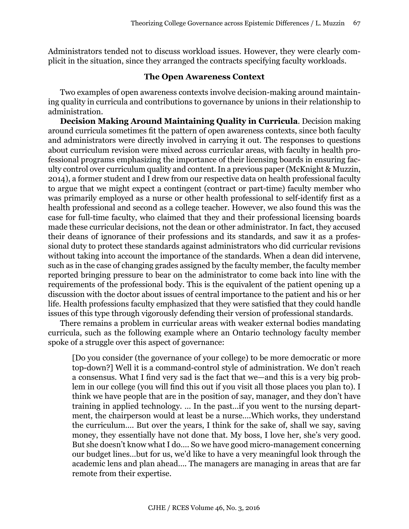Administrators tended not to discuss workload issues. However, they were clearly complicit in the situation, since they arranged the contracts specifying faculty workloads.

## **The Open Awareness Context**

Two examples of open awareness contexts involve decision-making around maintaining quality in curricula and contributions to governance by unions in their relationship to administration.

**Decision Making Around Maintaining Quality in Curricula**. Decision making around curricula sometimes fit the pattern of open awareness contexts, since both faculty and administrators were directly involved in carrying it out. The responses to questions about curriculum revision were mixed across curricular areas, with faculty in health professional programs emphasizing the importance of their licensing boards in ensuring faculty control over curriculum quality and content. In a previous paper (McKnight & Muzzin, 2014), a former student and I drew from our respective data on health professional faculty to argue that we might expect a contingent (contract or part-time) faculty member who was primarily employed as a nurse or other health professional to self-identify first as a health professional and second as a college teacher. However, we also found this was the case for full-time faculty, who claimed that they and their professional licensing boards made these curricular decisions, not the dean or other administrator. In fact, they accused their deans of ignorance of their professions and its standards, and saw it as a professional duty to protect these standards against administrators who did curricular revisions without taking into account the importance of the standards. When a dean did intervene, such as in the case of changing grades assigned by the faculty member, the faculty member reported bringing pressure to bear on the administrator to come back into line with the requirements of the professional body. This is the equivalent of the patient opening up a discussion with the doctor about issues of central importance to the patient and his or her life. Health professions faculty emphasized that they were satisfied that they could handle issues of this type through vigorously defending their version of professional standards.

There remains a problem in curricular areas with weaker external bodies mandating curricula, such as the following example where an Ontario technology faculty member spoke of a struggle over this aspect of governance:

[Do you consider (the governance of your college) to be more democratic or more top-down?] Well it is a command-control style of administration. We don't reach a consensus. What I find very sad is the fact that we—and this is a very big problem in our college (you will find this out if you visit all those places you plan to). I think we have people that are in the position of say, manager, and they don't have training in applied technology. … In the past…if you went to the nursing department, the chairperson would at least be a nurse….Which works, they understand the curriculum…. But over the years, I think for the sake of, shall we say, saving money, they essentially have not done that. My boss, I love her, she's very good. But she doesn't know what I do…. So we have good micro-management concerning our budget lines…but for us, we'd like to have a very meaningful look through the academic lens and plan ahead…. The managers are managing in areas that are far remote from their expertise.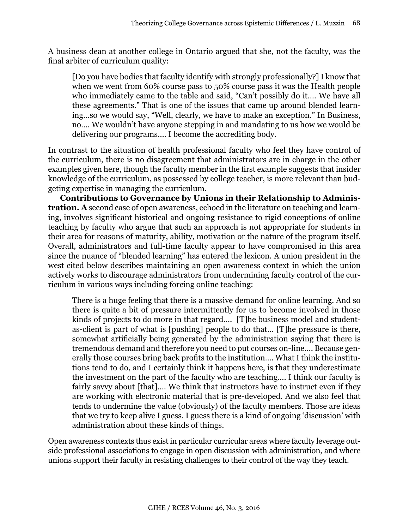A business dean at another college in Ontario argued that she, not the faculty, was the final arbiter of curriculum quality:

[Do you have bodies that faculty identify with strongly professionally?] I know that when we went from 60% course pass to 50% course pass it was the Health people who immediately came to the table and said, "Can't possibly do it…. We have all these agreements." That is one of the issues that came up around blended learning…so we would say, "Well, clearly, we have to make an exception." In Business, no…. We wouldn't have anyone stepping in and mandating to us how we would be delivering our programs…. I become the accrediting body.

In contrast to the situation of health professional faculty who feel they have control of the curriculum, there is no disagreement that administrators are in charge in the other examples given here, though the faculty member in the first example suggests that insider knowledge of the curriculum, as possessed by college teacher, is more relevant than budgeting expertise in managing the curriculum.

**Contributions to Governance by Unions in their Relationship to Administration. A** second case of open awareness, echoed in the literature on teaching and learning, involves significant historical and ongoing resistance to rigid conceptions of online teaching by faculty who argue that such an approach is not appropriate for students in their area for reasons of maturity, ability, motivation or the nature of the program itself. Overall, administrators and full-time faculty appear to have compromised in this area since the nuance of "blended learning" has entered the lexicon. A union president in the west cited below describes maintaining an open awareness context in which the union actively works to discourage administrators from undermining faculty control of the curriculum in various ways including forcing online teaching:

There is a huge feeling that there is a massive demand for online learning. And so there is quite a bit of pressure intermittently for us to become involved in those kinds of projects to do more in that regard…. [T]he business model and studentas-client is part of what is [pushing] people to do that… [T]he pressure is there, somewhat artificially being generated by the administration saying that there is tremendous demand and therefore you need to put courses on-line…. Because generally those courses bring back profits to the institution…. What I think the institutions tend to do, and I certainly think it happens here, is that they underestimate the investment on the part of the faculty who are teaching…. I think our faculty is fairly savvy about [that]…. We think that instructors have to instruct even if they are working with electronic material that is pre-developed. And we also feel that tends to undermine the value (obviously) of the faculty members. Those are ideas that we try to keep alive I guess. I guess there is a kind of ongoing 'discussion' with administration about these kinds of things.

Open awareness contexts thus exist in particular curricular areas where faculty leverage outside professional associations to engage in open discussion with administration, and where unions support their faculty in resisting challenges to their control of the way they teach.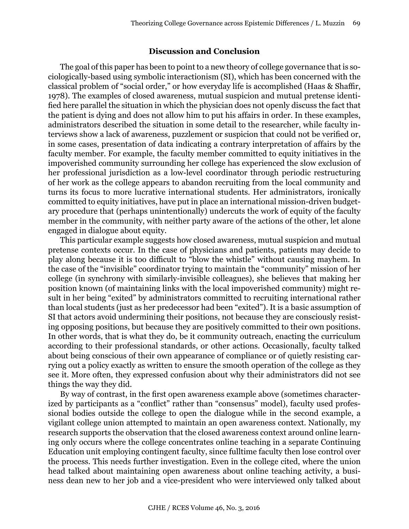#### **Discussion and Conclusion**

The goal of this paper has been to point to a new theory of college governance that is sociologically-based using symbolic interactionism (SI), which has been concerned with the classical problem of "social order," or how everyday life is accomplished (Haas & Shaffir, 1978). The examples of closed awareness, mutual suspicion and mutual pretense identified here parallel the situation in which the physician does not openly discuss the fact that the patient is dying and does not allow him to put his affairs in order. In these examples, administrators described the situation in some detail to the researcher, while faculty interviews show a lack of awareness, puzzlement or suspicion that could not be verified or, in some cases, presentation of data indicating a contrary interpretation of affairs by the faculty member. For example, the faculty member committed to equity initiatives in the impoverished community surrounding her college has experienced the slow exclusion of her professional jurisdiction as a low-level coordinator through periodic restructuring of her work as the college appears to abandon recruiting from the local community and turns its focus to more lucrative international students. Her administrators, ironically committed to equity initiatives, have put in place an international mission-driven budgetary procedure that (perhaps unintentionally) undercuts the work of equity of the faculty member in the community, with neither party aware of the actions of the other, let alone engaged in dialogue about equity.

This particular example suggests how closed awareness, mutual suspicion and mutual pretense contexts occur. In the case of physicians and patients, patients may decide to play along because it is too difficult to "blow the whistle" without causing mayhem. In the case of the "invisible" coordinator trying to maintain the "community" mission of her college (in synchrony with similarly-invisible colleagues), she believes that making her position known (of maintaining links with the local impoverished community) might result in her being "exited" by administrators committed to recruiting international rather than local students (just as her predecessor had been "exited"). It is a basic assumption of SI that actors avoid undermining their positions, not because they are consciously resisting opposing positions, but because they are positively committed to their own positions. In other words, that is what they do, be it community outreach, enacting the curriculum according to their professional standards, or other actions. Occasionally, faculty talked about being conscious of their own appearance of compliance or of quietly resisting carrying out a policy exactly as written to ensure the smooth operation of the college as they see it. More often, they expressed confusion about why their administrators did not see things the way they did.

By way of contrast, in the first open awareness example above (sometimes characterized by participants as a "conflict" rather than "consensus" model), faculty used professional bodies outside the college to open the dialogue while in the second example, a vigilant college union attempted to maintain an open awareness context. Nationally, my research supports the observation that the closed awareness context around online learning only occurs where the college concentrates online teaching in a separate Continuing Education unit employing contingent faculty, since fulltime faculty then lose control over the process. This needs further investigation. Even in the college cited, where the union head talked about maintaining open awareness about online teaching activity, a business dean new to her job and a vice-president who were interviewed only talked about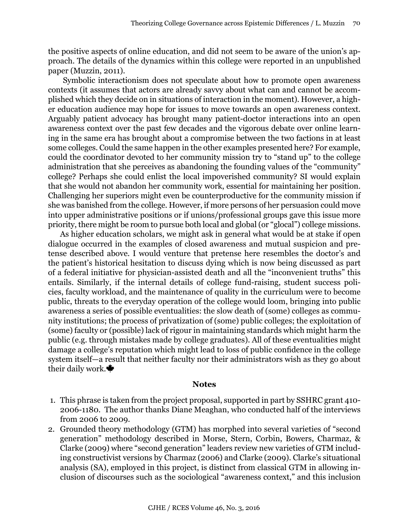the positive aspects of online education, and did not seem to be aware of the union's approach. The details of the dynamics within this college were reported in an unpublished paper (Muzzin, 2011).

 Symbolic interactionism does not speculate about how to promote open awareness contexts (it assumes that actors are already savvy about what can and cannot be accomplished which they decide on in situations of interaction in the moment). However, a higher education audience may hope for issues to move towards an open awareness context. Arguably patient advocacy has brought many patient-doctor interactions into an open awareness context over the past few decades and the vigorous debate over online learning in the same era has brought about a compromise between the two factions in at least some colleges. Could the same happen in the other examples presented here? For example, could the coordinator devoted to her community mission try to "stand up" to the college administration that she perceives as abandoning the founding values of the "community" college? Perhaps she could enlist the local impoverished community? SI would explain that she would not abandon her community work, essential for maintaining her position. Challenging her superiors might even be counterproductive for the community mission if she was banished from the college. However, if more persons of her persuasion could move into upper administrative positions or if unions/professional groups gave this issue more priority, there might be room to pursue both local and global (or "glocal") college missions.

As higher education scholars, we might ask in general what would be at stake if open dialogue occurred in the examples of closed awareness and mutual suspicion and pretense described above. I would venture that pretense here resembles the doctor's and the patient's historical hesitation to discuss dying which is now being discussed as part of a federal initiative for physician-assisted death and all the "inconvenient truths" this entails. Similarly, if the internal details of college fund-raising, student success policies, faculty workload, and the maintenance of quality in the curriculum were to become public, threats to the everyday operation of the college would loom, bringing into public awareness a series of possible eventualities: the slow death of (some) colleges as community institutions; the process of privatization of (some) public colleges; the exploitation of (some) faculty or (possible) lack of rigour in maintaining standards which might harm the public (e.g. through mistakes made by college graduates). All of these eventualities might damage a college's reputation which might lead to loss of public confidence in the college system itself—a result that neither faculty nor their administrators wish as they go about their daily work.

#### **Notes**

- 1. This phrase is taken from the project proposal, supported in part by SSHRC grant 410- 2006-1180. The author thanks Diane Meaghan, who conducted half of the interviews from 2006 to 2009.
- 2. Grounded theory methodology (GTM) has morphed into several varieties of "second generation" methodology described in Morse, Stern, Corbin, Bowers, Charmaz, & Clarke (2009) where "second generation" leaders review new varieties of GTM including constructivist versions by Charmaz (2006) and Clarke (2009). Clarke's situational analysis (SA), employed in this project, is distinct from classical GTM in allowing inclusion of discourses such as the sociological "awareness context," and this inclusion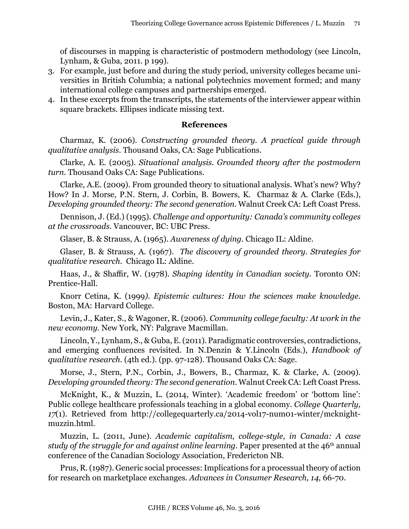of discourses in mapping is characteristic of postmodern methodology (see Lincoln, Lynham, & Guba, 2011. p 199).

- 3. For example, just before and during the study period, university colleges became universities in British Columbia; a national polytechnics movement formed; and many international college campuses and partnerships emerged.
- 4. In these excerpts from the transcripts, the statements of the interviewer appear within square brackets. Ellipses indicate missing text.

## **References**

Charmaz, K. (2006). *Constructing grounded theory. A practical guide through qualitative analysis.* Thousand Oaks, CA: Sage Publications.

Clarke, A. E. (2005). *Situational analysis. Grounded theory after the postmodern turn*. Thousand Oaks CA: Sage Publications.

Clarke, A.E. (2009). From grounded theory to situational analysis. What's new? Why? How? In J. Morse, P.N. Stern, J. Corbin, B. Bowers, K. Charmaz & A. Clarke (Eds.), *Developing grounded theory: The second generation*. Walnut Creek CA: Left Coast Press.

Dennison, J. (Ed.) (1995). *Challenge and opportunity: Canada's community colleges at the crossroads*. Vancouver, BC: UBC Press.

Glaser, B. & Strauss, A. (1965). *Awareness of dying.* Chicago IL: Aldine.

Glaser, B. & Strauss, A. (1967). *The discovery of grounded theory. Strategies for qualitative research.* Chicago IL: Aldine.

Haas, J., & Shaffir, W. (1978). *Shaping identity in Canadian society.* Toronto ON: Prentice-Hall.

Knorr Cetina, K. (1999*). Epistemic cultures: How the sciences make knowledge*. Boston, MA: Harvard College.

Levin, J., Kater, S., & Wagoner, R. (2006). *Community college faculty: At work in the new economy*. New York, NY: Palgrave Macmillan.

Lincoln, Y., Lynham, S., & Guba, E. (2011). Paradigmatic controversies, contradictions, and emerging confluences revisited. In N.Denzin & Y.Lincoln (Eds*.*), *Handbook of qualitative research.* (4th ed.). (pp. 97-128). Thousand Oaks CA: Sage.

Morse, J., Stern, P.N., Corbin, J., Bowers, B., Charmaz, K. & Clarke, A. (2009). *Developing grounded theory: The second generation*. Walnut Creek CA: Left Coast Press.

McKnight, K., & Muzzin, L. (2014, Winter). 'Academic freedom' or 'bottom line': Public college healthcare professionals teaching in a global economy. *College Quarterly, 17*(1). Retrieved from [http://collegequarterly.ca/2014-vol17-num01-winter/mcknight](http://collegequarterly.ca/2014-vol17-num01-winter/mcknight-muzzin.html)[muzzin.html](http://collegequarterly.ca/2014-vol17-num01-winter/mcknight-muzzin.html).

Muzzin, L. (2011, June). *Academic capitalism, college-style, in Canada: A case study of the struggle for and against online learning.* Paper presented at the 46th annual conference of the Canadian Sociology Association, Fredericton NB.

Prus, R. (1987). Generic social processes: Implications for a processual theory of action for research on marketplace exchanges. *Advances in Consumer Research, 14,* 66-70.